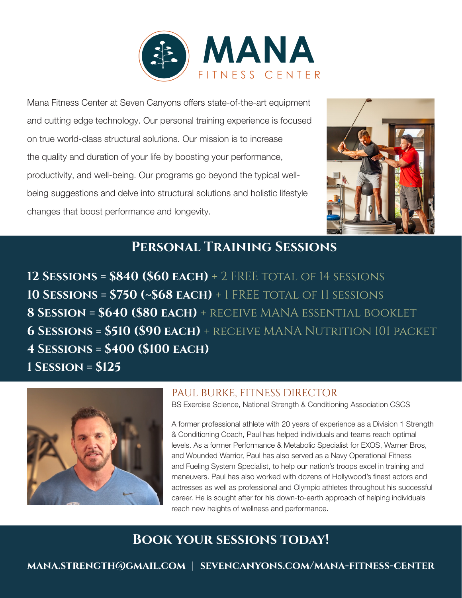

Mana Fitness Center at Seven Canyons offers state-of-the-art equipment and cutting edge technology. Our personal training experience is focused on true world-class structural solutions. Our mission is to increase the quality and duration of your life by boosting your performance, productivity, and well-being. Our programs go beyond the typical wellbeing suggestions and delve into structural solutions and holistic lifestyle changes that boost performance and longevity.



#### **Personal Training Sessions**

**12 Sessions = \$840 (\$60 each)** + 2 FREE total of 14 sessions **10 Sessions = \$750 (~\$68 each)** + 1 FREE total of 11 sessions **8 Session = \$640 (\$80 each)** + receive MANA essential booklet **6 Sessions = \$510 (\$90 each)** + receive MANA Nutrition 101 packet **4 Sessions = \$400 (\$100 each) 1 Session = \$125**



#### PAUL BURKE, FITNESS DIRECTOR

BS Exercise Science, National Strength & Conditioning Association CSCS

A former professional athlete with 20 years of experience as a Division 1 Strength & Conditioning Coach, Paul has helped individuals and teams reach optimal levels. As a former Performance & Metabolic Specialist for EXOS, Warner Bros, and Wounded Warrior, Paul has also served as a Navy Operational Fitness and Fueling System Specialist, to help our nation's troops excel in training and maneuvers. Paul has also worked with dozens of Hollywood's finest actors and actresses as well as professional and Olympic athletes throughout his successful career. He is sought after for his down-to-earth approach of helping individuals reach new heights of wellness and performance.

#### **Book your sessions today!**

**mana.strength@gmail.com | sevencanyons.com/mana-fitness-center**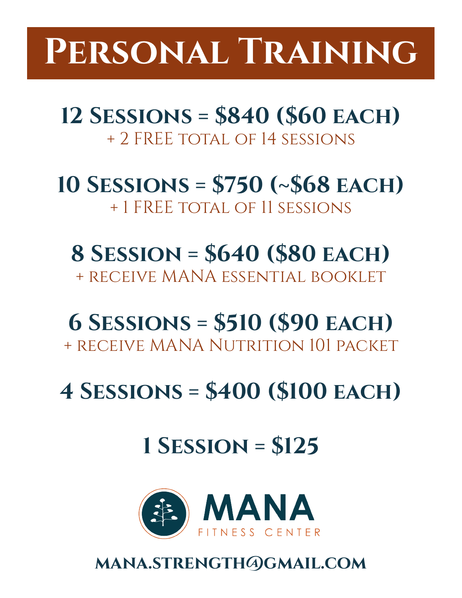# **Personal Training**

**12 Sessions = \$840 (\$60 each)** + 2 FREE total of 14 sessions

**10 Sessions = \$750 (~\$68 each)**  + 1 FREE total of 11 sessions

**8 Session = \$640 (\$80 each)**  + receive MANA essential booklet

**6 Sessions = \$510 (\$90 each)**  + receive MANA Nutrition 101 packet

**4 Sessions = \$400 (\$100 each)**

**1 Session = \$125**



**mana.strength@gmail.com**